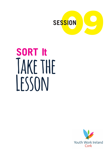

# **SORT It Take the Lesson**

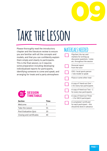

# **Take the Lesson**

Please thoroughly read the introductory chapter and the literature review to ensure you are familiar with all the concepts and models, and that you can confidently explain them simply and clearly to participants. This is the final session, so it requires some preparation including developing individualised reports for participants, identifying someone to come and speak, and arranging for treats and a party atmosphere

# **MATERIALS NEEDED**  Flipchart, blu-tac and markers for writing up discussion questions / notes etc. throughout the session Personal report from the tutor CEO / local sports person / role model to speak Pizza or some other treat A copy of 'Hand-out One' – 1 for every two participants A copy of Hand-out Two – 1 for every two participants A copy of Hand-out Three – 1 for EACH participant A completed 'certificate' for each participant – this

should be done in advance



| <b>Section</b>              | Time |
|-----------------------------|------|
| Welcome                     | 5    |
| Take the Lesson             | 55   |
| <b>Post Evaluation Quiz</b> | 20   |
| Closing and certificates    | 40   |
|                             |      |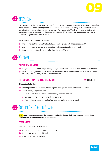

# **10 MIN Trickle In**

**Last Week's Take the Lesson was …** *Ask participants to pay attention this week to 'feedback', meaning when people give each other opinions about how the other person is doing. This week they should pay attention to see are they the type of person who gives a lot of feedback to others; do they give more compliments or criticism? There's no good or bad; it's just to start to understand the type of feedback we give, where, and to whom?*

As people trickle in, have a discussion:

- $\triangleright$  Did you notice that you're the kind of person who gives a lot of feedback or not?
- $\triangleright$  Are you the kind of person who feeds back with compliments, or criticism?
- $\triangleright$  Do you think one type is more useful than the other? Why?



## **MINDFUL MINUTE**

- $\triangleright$  Ring the bell to acknowledge the beginning of the session and focus participants into the room
- $\triangleright$  Do a body scan, observation exercise, square breathing or other mindful exercise for one minute to help participants to ground before the session

# **INTRODUCTION TO THE SESSION EXAMPLE 2**



#### **Discuss the following:**

- $\triangleright$  Looking at the SORT It model, we have gone through the model, except for the last step.
- $\triangleright$  Today we're going to focus on
	- $\rightarrow$  Developing skills in reviewing and feeding back on learning
	- $\rightarrow$  Do a quiz to help review some of our learning
	- $\rightarrow$  Finished the programme and reflect on what we have accomplished

# **55 MIN Exercise One: Take the Lesson**

**AIM Participants understand the importance of reflecting on their own success in managing a situation and learn to feed back to one another**

### **OVERVIEW**

There are three parts to this exercise

- **a)** A discussion on the importance of feedback
- **b)** Practice on a case study, Melanie
- **c)** A structured feedback circle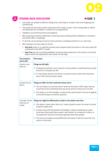



# **MINUS BACK DISCUSSION** ■ ■ ■ ■ ■ SLIDE 3

- $\triangleright$  Last week, we looked at different things that could help us to learn, like mind mapping and summarising.
- $\triangleright$  This week we will study another important skill to help us learn. That is being able to reflect and feed back (to ourselves or others) on our experiences.
- $\triangleright$  Feedback can be both positive and negative
- $\triangleright$  We are going to practice reflecting on learning and providing positive feedback to ourselves and others after a challenge
- $\triangleright$  To do that, we are going to look at some scenarios, including scenarios in our own lives
- $\triangleright$  We're going to use two steps to do this.
	- $\rightarrow$  **Step One:** listen to or read the scenario and compare what the person in the case study did compared to the SORT It model
	- $\rightarrow$  **Step Two:** practice providing feedback using the three sentences in the column on the left, below, which are explained in the column on the right.

| The sentence<br>starts with               | This means                                                                                                                                                                                                                        |
|-------------------------------------------|-----------------------------------------------------------------------------------------------------------------------------------------------------------------------------------------------------------------------------------|
| Good on you<br>(me) for                   | Things we did right                                                                                                                                                                                                               |
|                                           | $\rightarrow$ Finding the positive in your reaction to the problem, something that you feel<br>proud of or are glad you did.                                                                                                      |
|                                           | $\rightarrow$ It's not always obvious, but there is a positive way to view most situations,<br>even if the outcome wasn't great                                                                                                   |
| At least you (I)                          | Things we didn't do that could have been worse                                                                                                                                                                                    |
| didn't                                    | $\rightarrow$ This can help us to see that even if what we did wasn't 100% right, that we<br>could have done something that was worse and we chose not to do that                                                                 |
|                                           | $\rightarrow$ This helps us to find strength in what we did, particularly if we are struggling<br>to find and answer to the first question                                                                                        |
| I wonder if next<br>time you (I)<br>could | Things we might do differently to make it even better next time                                                                                                                                                                   |
|                                           | $\rightarrow$ This doesn't mean when the exact same situation arises, but when a similar<br>situation might arise                                                                                                                 |
|                                           | $\rightarrow$ It means that with the benefit of hindsight, is there something we could<br>have done that would have made it even better for ourselves or others, or<br>increased the chances of everyone getting what they wanted |
|                                           | $\rightarrow$ The more we imagine acting differently the easier it will be to put this into<br>action in the future                                                                                                               |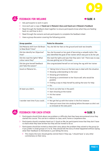



# **EXAMPLE A** SLIDE 4



- $\triangleright$  Ask participants to work in pairs
- w Give each pair a copy of **Hand-out 1: Melanie's Story and Hand-out 2: Melanie's Feedback**
- $\triangleright$  Read through the feedback sheet together to ensure participants know what they are feeding back on, and how to do it
- $\triangleright$  Read through the scenario and ask participants to complete the feedback sheet
- $\triangleright$  Have a group discussion covering the following points:

| <b>Group question</b>                                  | <b>Points for discussion</b>                                                                                                                                                                                                                                                                                                                                    |
|--------------------------------------------------------|-----------------------------------------------------------------------------------------------------------------------------------------------------------------------------------------------------------------------------------------------------------------------------------------------------------------------------------------------------------------|
| Did Melanie shift from Old Brain<br>to New Brain? How? | Yes, she felt her feet on the ground and took two breaths                                                                                                                                                                                                                                                                                                       |
| Did she identify her Objective?<br>How?                | Yes, she focussed on her goal of becoming a catwalk stylist. She<br>also identified the goal of her trainer which was just to do her job                                                                                                                                                                                                                        |
| Did she read the lights? What<br>colour were they?     | She read the lights and saw that they were 'red'. There was no way<br>she was getting out of this exam                                                                                                                                                                                                                                                          |
| Did she give herself feedback<br>and Take the Lesson?  | She congratulated herself on not losing the rag with her trainer                                                                                                                                                                                                                                                                                                |
| Good on Melanie for                                    | $\rightarrow$ Taking time to focus on the best way to deal with the situation<br>$\rightarrow$ Showing understanding to the tutor<br>$\rightarrow$ Showing grit/resilience<br>$\rightarrow$ Showing a commitment to her future self, who would be<br>grateful<br>$\rightarrow$ Finding a way to help herself by asking the tutor for help<br>$\rightarrow$ Etc. |
| At least you didn't                                    | $\rightarrow$ Storm out (she has in the past!)<br>$\rightarrow$ Start shouting at the trainer<br>$\rightarrow$ Hit the trainer<br>$\rightarrow$ Etc.                                                                                                                                                                                                            |
| I wonder next time if you could                        | $\rightarrow$ Not get fed up with the trainer in the first instance<br>$\rightarrow$ Have put more time into studying before the exam so she's not<br>so stressed at this late point                                                                                                                                                                            |



# **EXECUTE ACK FOR EACH OTHER EXECUTE 2**



- $\triangleright$  Participants should think about one problem or difficulty that they have encountered since they started this course. This can be in relation to class, work, home or anywhere else.
- $\triangleright$  Participants should complete Hand-out 3: Good on Me; let participants know that they don't have to share what they have written but they will be invited to do so
- $\triangleright$  Participants should be invited to share their story about the problem they solved to the group (or if you prefer in small groups of 3 to 4). They should tell the story of what happened without saying what their feedback to themselves is, just telling the story.
	- $\rightarrow$  This means the tutor should gently remind them if they say, 'I should have' or any other commentary on their story.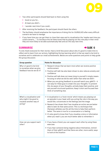

- $\triangleright$  Two other participants should feed back to them using the:
	- $\rightarrow$  Good on you for...
	- $\rightarrow$  At least you didn't...
	- $\rightarrow$  I wonder next time if you could...
- $\triangleright$  After receiving the feedback, the participant should thank the others
- $\triangleright$  The facilitator should emphasise the importance of doing this for OURSELVES after every difficult scenario we have to manage
- $\triangleright$  If you have time you can get them to close their eyes and to visualisation the 'maybe next time you could scenario….'. To introduce this let them know that by playing out this role play in their mind they are more likely to be able automatically feel and act this way next time.

### **SUMMARISE** Æ**SLIDE 6**



To end, thank everyone for their stories. Have a brief discussion about why it's good to make time to reflect and to learn from our actions, highlighting the key learning which is that we need to be kind to ourselves and to celebrate our small achievements. Below are some questions and points to help guide this group discussion.

| <b>Group question</b>                                                               | <b>Points for discussion</b>                                                                                                                                                                                                                                                                                          |
|-------------------------------------------------------------------------------------|-----------------------------------------------------------------------------------------------------------------------------------------------------------------------------------------------------------------------------------------------------------------------------------------------------------------------|
| Why is it good to be kind<br>to ourselves when we give<br>feedback how do we do it? | $\rightarrow$ Research shows that we learn more when we receive positive<br>reinforcement.                                                                                                                                                                                                                            |
|                                                                                     | $\rightarrow$ Positive self-talk has also been shown to also reduces anxiety and<br>confidence                                                                                                                                                                                                                        |
|                                                                                     | $\rightarrow$ Positive self-talk does not mean lying to yourself it simply means<br>focusing on what we did do well rather than what we didn't                                                                                                                                                                        |
|                                                                                     | $\rightarrow$ When you are giving feedback to yourself watch your gNATS – it<br>can easy for these guys to sneak into your thoughts. To prevent<br>this, be aware of your thoughts, actively keep them positive, and<br>ask yourself structured questions. Keep it short and focused then<br>think of something else. |
| What's a visualisation and<br>why might it be good to<br>visualise another way of   | $\rightarrow$ A visualisation is a 'brain movie' which means you playing out<br>an episode in your head, with you acting the role in the way you<br>would like, concentrate on the feelings and the image                                                                                                             |
| acting?                                                                             | $\rightarrow$ Research has shown that if we visualise an action we are better<br>able to later do that same action. This is a technique that<br>Olympian athletes use this all the time to help them perform<br>better. The same is true for a conversation or a feeling.                                             |
|                                                                                     | $\rightarrow$ It's also good to know that if you visualise a story or information<br>when you read it, you are much better able to remember it                                                                                                                                                                        |
| How can you support each<br>other?                                                  | $\rightarrow$ If you have a friend, you can support each other by using these<br>exercises                                                                                                                                                                                                                            |
|                                                                                     | $\rightarrow$ If you hear someone being negative about themselves, remind<br>them of their gNATS and that there are other, more useful, ways<br>to look at the situation                                                                                                                                              |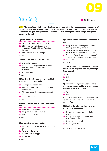

# EXERCISE TWO: QUIZ

**AIM The aim of this quiz is to very lightly review the content of the programme and serve as a brief reminder of what was covered. This should be a fun and silly exercise. You can break the group into teams to do the quiz, have prizes etc. Show each question on the presentation and go through the answers at the end.**

#### **1) What does SORT It stand for?**

- **a)** Stop, Open your Eyes, Run, Timing
- **b)** Shift from old brain to new brain, Objective, Read the Lights, Take the Lesson
- **c)** See, Observe, React, Triumph

#### *Answer: b*

#### **2) What does 'Fight or Flight' refer to?**

- **a)** A brand of runners
- **b)** What happens to your old brain when you are confronted with a threatening situation
- **c)** A boxing move

*Answer: b*

#### **3) Which of the following can help you Shift from Old Brain to New Brain**

- **a)** Taking a few deep breaths
- **b)** Observing your surroundings and using your senses
- **c)** Thinking about things you are grateful for
- **d)** All of the above

*Answer: d*

#### **4) What does the 'NAT' in Pesky gNAT stand for?**

- **a)** Naughty ant thoughts
- **b)** Negative automatic thoughts
- **c)** Never again thanks

*Answer: b*

#### **5) An objective can help you to…**

- **a)** Know what you want and make a plan to get it
- **b)** Take over the world
- **c)** Be immediately happy
- **d)** All except c

*Answer: d*

#### **6) A 'RED' situation means you probably have to…**

- **a)** Keep your eyes on the prize and get through something difficult
- **b)** Show some grit that you can put up with discomfort to get what you need
- **c)** 'Suck it up' and do something you don't want to get what you ultimately need
- **d)** All of the above

#### *Answer: d*

#### **7) True or false…. An orange situation is one where we can negotiate, and maybe change the situation?**

- **a)** True
- **b)** False

*Answer: a*

#### **8) True or false… A green situation means we have no control and have to just go with whatever is put in front of us**

- **a)** True
- **b)** False

*Answer: b, a green situation is one where with a simple plan put into action you can change the situation*

#### **9) Which of the following statements are true about giving feedback?**

- **a)** It helps us to acknowledge what was positive
- **b)** It helps us to figure out where we could have done better
- **c)** It gives us a big head
- **d)** It is very unhelpful

*Answer: a, b and if you want, c!*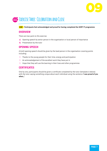

# **30-40 MIN Exercise Three: Celebration and Close**

#### **AIM Participants feel acknowledged and proud for having completed the SORT IT programme**

## **OVERVIEW**

There are two parts to this exercise

- **a)** Opening speech by senior person in the organisation or local person of importance
- **b)** Presentation by the tutor

## **OPENING SPEECH**

A brief opening speech should be given by the lead person in the organisation covering points including:

- $\triangleright$  Thanks to the young people for their time, energy and participation
- $\triangleright$  An acknowledgement of the excellent work they have put in
- $\triangleright$  Hope that they will use the learning in their lives and other programmes

## **CERTIFICATES**

One by one, participants should be given a certificate completed by the tutor (template is below) with the tutor saying something unique about each individual using the sentence '**I was proud of you when…'**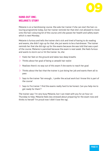

# **HAND-OUT ONE: MELANIE'S STORY**

Melanie is on a hairdressing course. She asks her trainer if she can start the hair-colouring programme today, but her trainer reminds her that she's not allowed to move onto the hair-colouring bit of the course until she passes her health and safety exam which is next Monday.

Melanie is furious and tells the trainer she's sick and tired of having to do reading and exams, she didn't sign up for that, she just wants to be a hairdresser. The trainer reminds her that she did sign up for the exams because she was told that was a part of the course. Melanie is panicked because the exam is next week. She feels furious and wants to storm out or hit the trainer. So, she:

- $\triangleright$  Feels her feet on the ground and takes two deep breaths
- $\triangleright$  Thinks about her goal of being a catwalk hair stylist
- $\triangleright$  Realises there's no way out of this exam if she wants to reach her goal
- $\triangleright$  Thinks about the fact that the trainer is just doing her job and wants them all to pass
- $\triangleright$  Says to the trainer 'fair enough... I prefer the actual work but I know this is part of the course'
- $\triangleright$  Says to the trainer 'I find the exams really hard to be honest. Can you help me to get ready for them'?

The trainer says 'I'm very busy Melanie, but I can meet with you for an hour on Thursday to help. Melanie feels less stressed about preparing for the exam now and thinks to herself 'I'm proud now I didn't lose the rag'.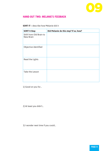

# **HAND-OUT TWO: MELANIE'S FEEDBACK**

# **SORT IT –** describe how Melanie did it

| <b>SORT It Step</b>                         | Did Melanie do this step? If so, how? |
|---------------------------------------------|---------------------------------------|
| Shift from Old Brain to<br><b>New Brain</b> |                                       |
| Objective identified                        |                                       |
| Read the Lights                             |                                       |
| Take the Lesson                             |                                       |

1) Good on you for…

2) At least you didn't…

3) I wonder next time if you could…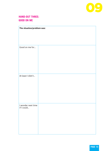

# **HAND-OUT THREE: GOOD ON ME**

| The situation/problem was:       |  |  |
|----------------------------------|--|--|
|                                  |  |  |
|                                  |  |  |
|                                  |  |  |
| Good on me for                   |  |  |
|                                  |  |  |
|                                  |  |  |
|                                  |  |  |
|                                  |  |  |
|                                  |  |  |
| At least I didn't                |  |  |
|                                  |  |  |
|                                  |  |  |
|                                  |  |  |
|                                  |  |  |
|                                  |  |  |
| I wonder next time<br>if I could |  |  |
|                                  |  |  |
|                                  |  |  |
|                                  |  |  |
|                                  |  |  |
|                                  |  |  |
|                                  |  |  |